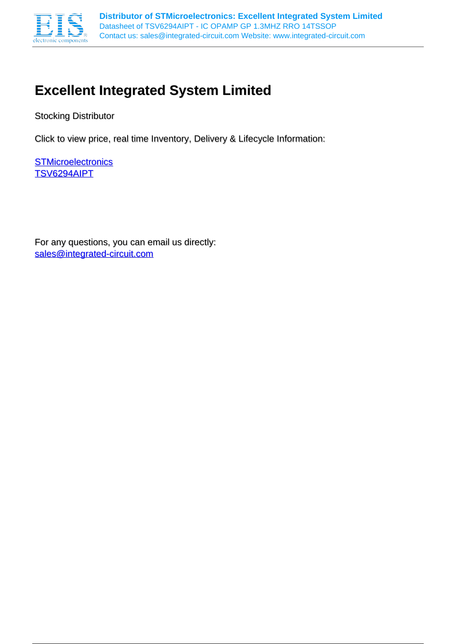

# **Excellent Integrated System Limited**

Stocking Distributor

Click to view price, real time Inventory, Delivery & Lifecycle Information:

**[STMicroelectronics](http://www.integrated-circuit.com/manufacturers/Stmicroelectronics.html)** [TSV6294AIPT](http://www.integrated-circuit.com/tag/TSV6294AIPT.html)

For any questions, you can email us directly: [sales@integrated-circuit.com](mailto:sales@integrated-circuit.com)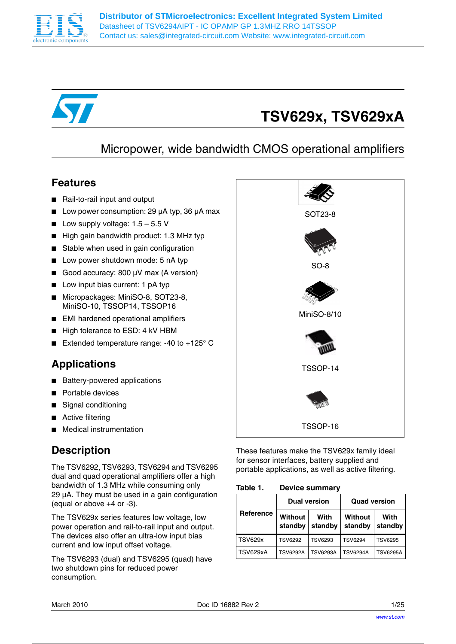



# **TSV629x, TSV629xA**

# Micropower, wide bandwidth CMOS operational amplifiers

## **Features**

- Rail-to-rail input and output
- Low power consumption: 29 µA typ, 36 µA max
- Low supply voltage:  $1.5 5.5$  V
- High gain bandwidth product: 1.3 MHz typ
- Stable when used in gain configuration
- Low power shutdown mode: 5 nA typ
- Good accuracy: 800 µV max (A version)
- Low input bias current: 1 pA typ
- Micropackages: MiniSO-8, SOT23-8, MiniSO-10, TSSOP14, TSSOP16
- EMI hardened operational amplifiers
- High tolerance to ESD: 4 kV HBM
- Extended temperature range: -40 to  $+125^{\circ}$  C

# **Applications**

- **Battery-powered applications**
- Portable devices
- Signal conditioning
- Active filtering
- **Medical instrumentation**

# **Description**

The TSV6292, TSV6293, TSV6294 and TSV6295 dual and quad operational amplifiers offer a high bandwidth of 1.3 MHz while consuming only 29 µA. They must be used in a gain configuration (equal or above +4 or -3).

The TSV629x series features low voltage, low power operation and rail-to-rail input and output. The devices also offer an ultra-low input bias current and low input offset voltage.

The TSV6293 (dual) and TSV6295 (quad) have two shutdown pins for reduced power consumption.



These features make the TSV629x family ideal for sensor interfaces, battery supplied and portable applications, as well as active filtering.

Table 1. **Device summary** 

|                |                           | <b>Dual version</b> | <b>Quad version</b> |                 |  |
|----------------|---------------------------|---------------------|---------------------|-----------------|--|
| Reference      | <b>Without</b><br>standby | With<br>standby     | Without<br>standby  | With<br>standby |  |
| <b>TSV629x</b> | <b>TSV6292</b>            | <b>TSV6293</b>      | <b>TSV6294</b>      | <b>TSV6295</b>  |  |
| TSV629xA       | <b>TSV6292A</b>           | <b>TSV6293A</b>     | <b>TSV6294A</b>     | <b>TSV6295A</b> |  |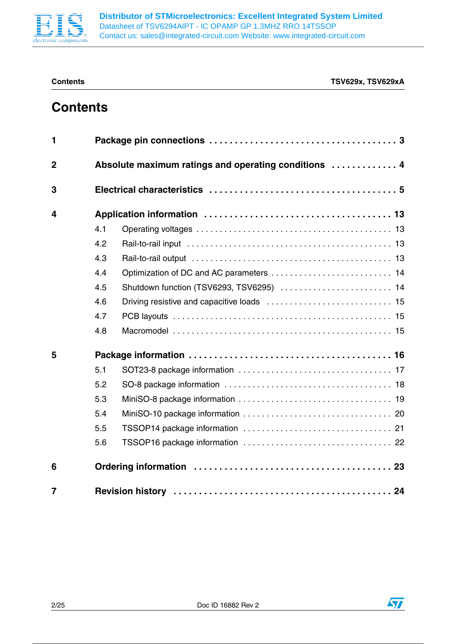

 $\sqrt{2}$ 

# **Contents**

| 1              |     |                                                      |
|----------------|-----|------------------------------------------------------|
| $\overline{2}$ |     | Absolute maximum ratings and operating conditions  4 |
| 3              |     |                                                      |
| 4              |     |                                                      |
|                | 4.1 |                                                      |
|                | 4.2 |                                                      |
|                | 4.3 |                                                      |
|                | 4.4 |                                                      |
|                | 4.5 |                                                      |
|                | 4.6 |                                                      |
|                | 4.7 |                                                      |
|                | 4.8 |                                                      |
| 5              |     |                                                      |
|                | 5.1 |                                                      |
|                | 5.2 |                                                      |
|                | 5.3 |                                                      |
|                | 5.4 |                                                      |
|                | 5.5 |                                                      |
|                | 5.6 |                                                      |
| 6              |     |                                                      |
| $\overline{7}$ |     |                                                      |

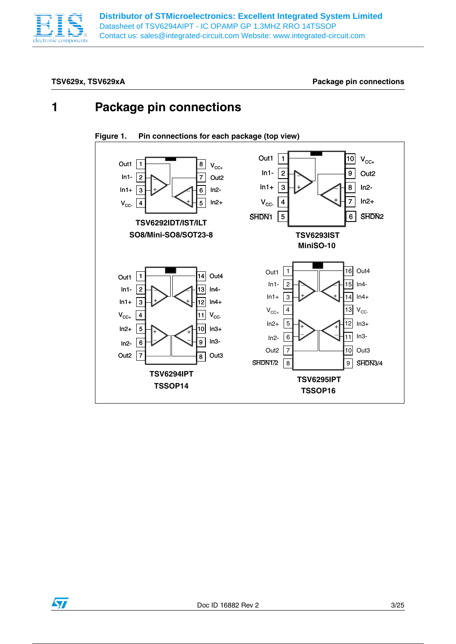

**Distributor of STMicroelectronics: Excellent Integrated System Limited** Datasheet of TSV6294AIPT - IC OPAMP GP 1.3MHZ RRO 14TSSOP Contact us: sales@integrated-circuit.com Website: www.integrated-circuit.com

TSV629x, TSV629xA **Package pin connections** 

# **1 Package pin connections**



**Figure 1. Pin connections for each package (top view)**

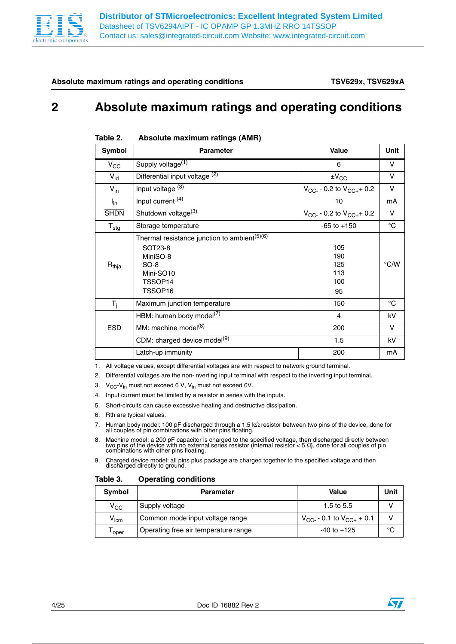

**Absolute maximum ratings and operating conditions TSV629x, TSV629xA**

# **2 Absolute maximum ratings and operating conditions**

| Symbol           | <b>Parameter</b>                                                                                                                                     | <b>Value</b>                          | Unit        |
|------------------|------------------------------------------------------------------------------------------------------------------------------------------------------|---------------------------------------|-------------|
| $V_{\rm CC}$     | Supply voltage <sup>(1)</sup>                                                                                                                        | 6                                     | v           |
| $V_{id}$         | Differential input voltage (2)                                                                                                                       | $\pm V_{\rm CC}$                      | v           |
| $V_{in}$         | Input voltage (3)                                                                                                                                    | $V_{CC}$ - 0.2 to $V_{CC+}$ + 0.2     | $\vee$      |
| $I_{in}$         | Input current <sup>(4)</sup>                                                                                                                         | 10                                    | mA          |
| <b>SHDN</b>      | Shutdown voltage <sup>(3)</sup>                                                                                                                      | $V_{CC}$ - 0.2 to $V_{CC+}$ + 0.2     | V           |
| $T_{\text{stg}}$ | Storage temperature                                                                                                                                  | $-65$ to $+150$                       | $^{\circ}C$ |
| $R_{thia}$       | Thermal resistance junction to ambient <sup>(5)(6)</sup><br>SOT23-8<br>MiniSO-8<br>$SO-8$<br>Mini-SO <sub>10</sub><br>TSSOP <sub>14</sub><br>TSSOP16 | 105<br>190<br>125<br>113<br>100<br>95 | °C/W        |
| $T_i$            | Maximum junction temperature                                                                                                                         | 150                                   | °C          |
|                  | HBM: human body model <sup>(7)</sup>                                                                                                                 | $\overline{4}$                        | kV          |
| <b>ESD</b>       | MM: machine model <sup>(8)</sup>                                                                                                                     | 200                                   | V           |
|                  | CDM: charged device model <sup>(9)</sup>                                                                                                             | 1.5                                   | kV          |
|                  | Latch-up immunity                                                                                                                                    | 200                                   | mA          |

### Table 2. **Absolute maximum ratings (AMR)**

1. All voltage values, except differential voltages are with respect to network ground terminal.

2. Differential voltages are the non-inverting input terminal with respect to the inverting input terminal.

3.  $V_{CC}$ - $V_{in}$  must not exceed 6 V,  $V_{in}$  must not exceed 6V.

4. Input current must be limited by a resistor in series with the inputs.

- 5. Short-circuits can cause excessive heating and destructive dissipation.
- 6. Rth are typical values.
- 7. Human body model: 100 pF discharged through a 1.5 kΩ resistor between two pins of the device, done for all couples of pin combinations with other pins floating.
- 8. Machine model: a 200 pF capacitor is charged to the specified voltage, then discharged directly between<br>two pins of the device with no external series resistor (internal resistor < 5  $\Omega$ ), done for all couples of pin<br>

9. Charged device model: all pins plus package are charged together to the specified voltage and then discharged directly to ground.

### Table 3. **Operating conditions**

| <b>Symbol</b> | <b>Parameter</b>                     | Value                             | Unit |
|---------------|--------------------------------------|-----------------------------------|------|
| $\rm v_{cc}$  | Supply voltage                       | 1.5 to $5.5$                      |      |
| $V_{\sf icm}$ | Common mode input voltage range      | $V_{CC}$ - 0.1 to $V_{CC+}$ + 0.1 |      |
| ' oper        | Operating free air temperature range | $-40$ to $+125$                   | °C   |

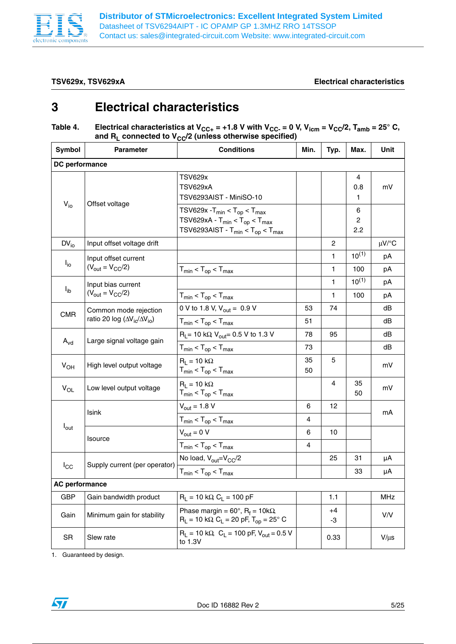

### **TSV629x, TSV629xA Electrical characteristics**

# **3 Electrical characteristics**

## Table 4. Electrical characteristics at V<sub>CC+</sub> = +1.8 V with V<sub>CC-</sub> = 0 V, V<sub>icm</sub> = V<sub>CC</sub>/2, T<sub>amb</sub> = 25° C, and R<sub>L</sub> connected to V<sub>CC</sub>/2 (unless otherwise specified)

| Symbol                | <b>Parameter</b>                                                            | <b>Conditions</b>                                                                                                                   | Min.           | Typ.           | Max.                       | Unit       |
|-----------------------|-----------------------------------------------------------------------------|-------------------------------------------------------------------------------------------------------------------------------------|----------------|----------------|----------------------------|------------|
| DC performance        |                                                                             |                                                                                                                                     |                |                |                            |            |
|                       |                                                                             | <b>TSV629x</b><br><b>TSV629xA</b><br>TSV6293AIST - MiniSO-10                                                                        |                |                | 4<br>0.8<br>1              | mV         |
| $V_{io}$              | Offset voltage                                                              | $TSV629x - T_{min} < T_{op} < T_{max}$<br>$TSV629xA - T_{min} < T_{op} < T_{max}$<br>TSV6293AIST - $T_{min}$ < $T_{op}$ < $T_{max}$ |                |                | 6<br>$\overline{c}$<br>2.2 |            |
| $DV_{io}$             | Input offset voltage drift                                                  |                                                                                                                                     |                | 2              |                            | $\mu$ V/°C |
|                       | Input offset current                                                        |                                                                                                                                     |                | 1              | $10^{(1)}$                 | pA         |
| $I_{io}$              | $(V_{\text{out}} = V_{\text{CC}}/2)$                                        | $T_{min}$ < $T_{op}$ < $T_{max}$                                                                                                    |                | $\mathbf{1}$   | 100                        | рA         |
|                       | Input bias current                                                          |                                                                                                                                     |                | 1              | $10^{(1)}$                 | pA         |
| $I_{ib}$              | $(V_{\text{out}} = V_{\text{CC}}/2)$                                        | $T_{min}$ < $T_{op}$ < $T_{max}$                                                                                                    |                | 1              | 100                        | рA         |
| <b>CMR</b>            | Common mode rejection<br>ratio 20 log (AV <sub>ic</sub> /AV <sub>io</sub> ) | 0 V to 1.8 V, $V_{\text{out}} = 0.9$ V                                                                                              | 53             | 74             |                            | dB         |
|                       |                                                                             | $T_{min}$ < $T_{op}$ < $T_{max}$                                                                                                    | 51             |                |                            | dB         |
|                       | Large signal voltage gain                                                   | $R_L$ = 10 kΩ, V <sub>out</sub> = 0.5 V to 1.3 V                                                                                    | 78             | 95             |                            | dB         |
| $A_{\text{vd}}$       |                                                                             | $T_{min}$ < $T_{op}$ < $T_{max}$                                                                                                    | 73             |                |                            | dB         |
| $V_{OH}$              | High level output voltage                                                   | $R_1 = 10 k\Omega$<br>$T_{min}$ < $T_{op}$ < $T_{max}$                                                                              | 35<br>50       | 5              |                            | mV         |
| $V_{OL}$              | Low level output voltage                                                    | $R_1 = 10 k\Omega$<br>$T_{min}$ < $T_{op}$ < $T_{max}$                                                                              |                | $\overline{4}$ | 35<br>50                   | mV         |
|                       | Isink                                                                       | $V_{\text{out}} = 1.8 V$                                                                                                            | 6              | 12             |                            |            |
|                       |                                                                             | $T_{min}$ < $T_{op}$ < $T_{max}$                                                                                                    | 4              |                |                            | mA         |
| $I_{\text{out}}$      | <b>Isource</b>                                                              | $V_{\text{out}} = 0 V$                                                                                                              | 6              | 10             |                            |            |
|                       |                                                                             | $T_{min}$ < $T_{op}$ < $T_{max}$                                                                                                    | $\overline{4}$ |                |                            |            |
| $I_{\rm CC}$          | Supply current (per operator)                                               | No load, V <sub>out</sub> =V <sub>CC</sub> /2                                                                                       |                | 25             | 31                         | μA         |
|                       |                                                                             | $T_{min}$ < $T_{op}$ < $T_{max}$                                                                                                    |                |                | 33                         | μA         |
| <b>AC performance</b> |                                                                             |                                                                                                                                     |                |                |                            |            |
| <b>GBP</b>            | Gain bandwidth product                                                      | $R_L = 10 k\Omega$ , $C_L = 100 pF$                                                                                                 |                | 1.1            |                            | <b>MHz</b> |
| Gain                  | Minimum gain for stability                                                  | Phase margin = $60^\circ$ , R <sub>f</sub> = $10k\Omega$ ,<br>$R_L$ = 10 kΩ, C <sub>L</sub> = 20 pF, T <sub>op</sub> = 25° C        |                | +4<br>-3       |                            | V/V        |
| <b>SR</b>             | Slew rate                                                                   | $R_1 = 10 k\Omega$ , $C_1 = 100 pF$ , $V_{\text{out}} = 0.5 V$<br>to 1.3V                                                           |                | 0.33           |                            | $V/\mu s$  |

1. Guaranteed by design.

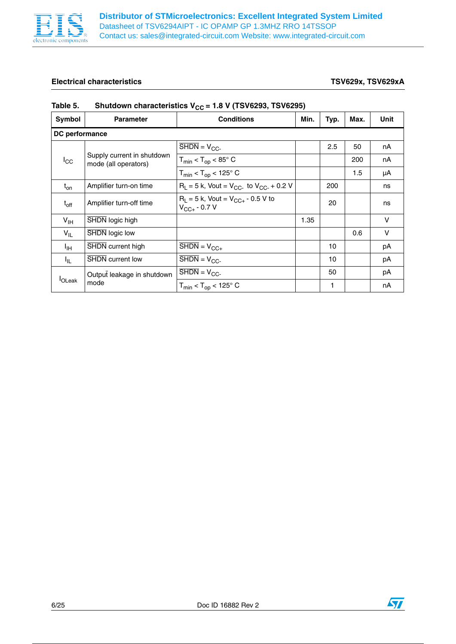

## **Electrical characteristics TSV629x, TSV629xA**

| Symbol          | <b>Parameter</b>                                   | <b>Conditions</b>                                             | Min. | Typ. | Max. | Unit   |  |  |
|-----------------|----------------------------------------------------|---------------------------------------------------------------|------|------|------|--------|--|--|
|                 | DC performance                                     |                                                               |      |      |      |        |  |  |
|                 |                                                    | $\overline{\text{SHDN}} = V_{\text{CC}}$                      |      | 2.5  | 50   | nA     |  |  |
| $I_{\rm CC}$    | Supply current in shutdown<br>mode (all operators) | $T_{min}$ < $T_{op}$ < 85 $^{\circ}$ C                        |      |      | 200  | nA     |  |  |
|                 |                                                    | $T_{min}$ < $T_{op}$ < 125 $^{\circ}$ C                       |      |      | 1.5  | μA     |  |  |
| $t_{on}$        | Amplifier turn-on time                             | $R_1 = 5$ k, Vout = $V_{CC}$ to $V_{CC}$ + 0.2 V              |      | 200  |      | ns     |  |  |
| $t_{off}$       | Amplifier turn-off time                            | $R_1 = 5$ k, Vout = $V_{CC+}$ - 0.5 V to<br>$V_{CC+}$ - 0.7 V |      | 20   |      | ns     |  |  |
| V <sub>IH</sub> | SHDN logic high                                    |                                                               | 1.35 |      |      | $\vee$ |  |  |
| $V_{IL}$        | SHDN logic low                                     |                                                               |      |      | 0.6  | V      |  |  |
| Iн              | SHDN current high                                  | $\overline{\text{SHDN}} = V_{\text{CC+}}$                     |      | 10   |      | рA     |  |  |
| Ι'n.            | <b>SHDN</b> current low                            | $\overline{\text{SHDN}} = V_{\text{CC}}$                      |      | 10   |      | рA     |  |  |
|                 | Output leakage in shutdown                         | $\overline{\text{SHDN}} = V_{\text{CC}}$                      |      | 50   |      | рA     |  |  |
| <b>I</b> OLeak  | mode                                               | $T_{min}$ < $T_{op}$ < 125 $^{\circ}$ C                       |      | 1    |      | nA     |  |  |

## Table 5. Shutdown characteristics V<sub>CC</sub> = 1.8 V (TSV6293, TSV6295)

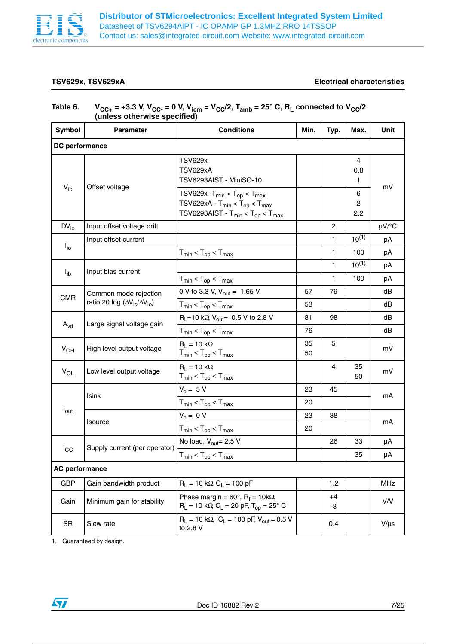

### **TSV629x, TSV629xA Electrical characteristics**

## Table 6.  $V_{CC+} = +3.3 V, V_{CC-} = 0 V, V_{icm} = V_{CC}/2, T_{amb} = 25^{\circ} C, R_{L}$  connected to  $V_{CC}/2$ **(unless otherwise specified)**

| Symbol                | <b>Parameter</b>                                                                | <b>Conditions</b><br>Min.                                                                                                               |          | Typ.           | Max.                       | Unit       |  |
|-----------------------|---------------------------------------------------------------------------------|-----------------------------------------------------------------------------------------------------------------------------------------|----------|----------------|----------------------------|------------|--|
| DC performance        |                                                                                 |                                                                                                                                         |          |                |                            |            |  |
|                       |                                                                                 | <b>TSV629x</b><br>TSV629xA<br>TSV6293AIST - MiniSO-10                                                                                   |          |                | 4<br>0.8<br>1.             | mV         |  |
| $V_{io}$              | Offset voltage                                                                  | $TSV629x - T_{min} < T_{op} < T_{max}$<br>TSV629xA - $T_{min}$ < $T_{op}$ < $T_{max}$<br>TSV6293AIST - $T_{min}$ < $T_{op}$ < $T_{max}$ |          |                | 6<br>$\overline{c}$<br>2.2 |            |  |
| $DV_{i0}$             | Input offset voltage drift                                                      |                                                                                                                                         |          | $\overline{c}$ |                            | $\mu$ V/°C |  |
|                       | Input offset current                                                            |                                                                                                                                         |          | 1              | $10^{(1)}$                 | рA         |  |
| $I_{\text{io}}$       |                                                                                 | $T_{min}$ < $T_{op}$ < $T_{max}$                                                                                                        |          | 1              | 100                        | рA         |  |
|                       |                                                                                 |                                                                                                                                         |          | 1              | $10^{(1)}$                 | рA         |  |
| $I_{ib}$              | Input bias current                                                              | $T_{min}$ < $T_{op}$ < $T_{max}$                                                                                                        |          | $\mathbf{1}$   | 100                        | рA         |  |
| <b>CMR</b>            | Common mode rejection<br>ratio 20 log ( $\Delta V_{\rm ic}/\Delta V_{\rm io}$ ) | 0 V to 3.3 V, $V_{\text{out}} = 1.65$ V                                                                                                 | 57       | 79             |                            | dB         |  |
|                       |                                                                                 | $T_{min}$ < $T_{op}$ < $T_{max}$                                                                                                        | 53       |                |                            | dB         |  |
|                       | Large signal voltage gain                                                       | $R_L$ =10 k $\Omega$ , $V_{out}$ = 0.5 V to 2.8 V                                                                                       | 81       | 98             |                            | dB         |  |
| $A_{\rm vd}$          |                                                                                 | $T_{min}$ < $T_{op}$ < $T_{max}$                                                                                                        | 76       |                |                            | dB         |  |
| $V_{OH}$              | High level output voltage                                                       | $R_1 = 10 k\Omega$<br>$T_{min}$ < $T_{op}$ < $T_{max}$                                                                                  | 35<br>50 | 5              |                            | mV         |  |
| $V_{OL}$              | Low level output voltage                                                        | $R_1 = 10 k\Omega$<br>$T_{min}$ < $T_{op}$ < $T_{max}$                                                                                  |          | $\overline{4}$ | 35<br>50                   | mV         |  |
|                       |                                                                                 | $V_0 = 5 V$                                                                                                                             | 23       | 45             |                            |            |  |
|                       | <b>Isink</b>                                                                    | $T_{min}$ < $T_{op}$ < $T_{max}$                                                                                                        | 20       |                |                            | mA         |  |
| $I_{\text{out}}$      |                                                                                 | $V_0 = 0 V$                                                                                                                             | 23       | 38             |                            |            |  |
|                       | <b>Isource</b>                                                                  | $T_{min}$ < $T_{op}$ < $T_{max}$                                                                                                        | 20       |                |                            | mA         |  |
|                       |                                                                                 | No load, $V_{\text{out}}$ = 2.5 V                                                                                                       |          | 26             | 33                         | μA         |  |
| $I_{\rm CC}$          | Supply current (per operator)                                                   | $T_{min}$ < $T_{op}$ < $T_{max}$                                                                                                        |          |                | 35                         | μA         |  |
| <b>AC performance</b> |                                                                                 |                                                                                                                                         |          |                |                            |            |  |
| <b>GBP</b>            | Gain bandwidth product                                                          | $R_L = 10 k\Omega C_L = 100 pF$                                                                                                         |          | 1.2            |                            | MHz        |  |
| Gain                  | Minimum gain for stability                                                      | Phase margin = $60^\circ$ , R <sub>f</sub> = $10k\Omega$ ,<br>$R_L$ = 10 kΩ C <sub>L</sub> = 20 pF, T <sub>op</sub> = 25° C             |          | $+4$<br>-3     |                            | V/V        |  |
| SR                    | Slew rate                                                                       | $R_L = 10 k\Omega$ , $C_L = 100 pF$ , $V_{out} = 0.5 V$<br>to 2.8 V                                                                     |          | 0.4            |                            | $V/\mu s$  |  |

1. Guaranteed by design.

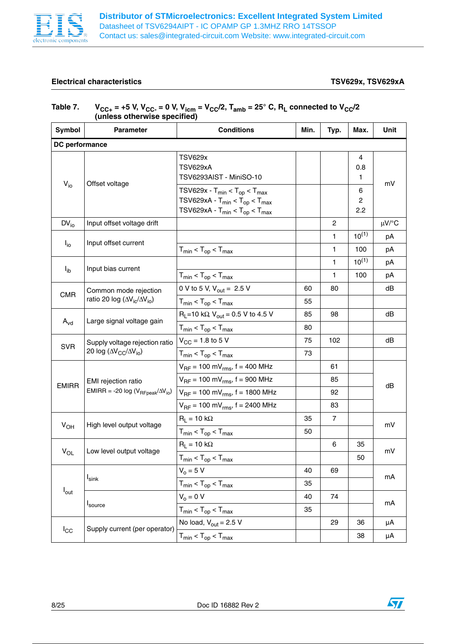

## **Electrical characteristics TSV629x, TSV629xA**

 $\sqrt{2}$ 

| (unless otherwise specified) |                                                                                 |                                                                                                                              |      |                |                            |            |  |
|------------------------------|---------------------------------------------------------------------------------|------------------------------------------------------------------------------------------------------------------------------|------|----------------|----------------------------|------------|--|
| Symbol                       | Parameter                                                                       | <b>Conditions</b>                                                                                                            | Min. | Typ.           | Max.                       | Unit       |  |
| DC performance               |                                                                                 |                                                                                                                              |      |                |                            |            |  |
|                              |                                                                                 | <b>TSV629x</b><br><b>TSV629xA</b><br>TSV6293AIST - MiniSO-10                                                                 |      |                | 4<br>0.8<br>$\mathbf{1}$   |            |  |
| $V_{i0}$                     | Offset voltage                                                                  | $TSV629x - T_{min} < T_{op} < T_{max}$<br>$TSV629xA - T_{min} < T_{op} < T_{max}$<br>$TSV629xA - T_{min} < T_{op} < T_{max}$ |      |                | 6<br>$\overline{c}$<br>2.2 | mV         |  |
| $DV_{i0}$                    | Input offset voltage drift                                                      |                                                                                                                              |      | $\overline{c}$ |                            | $\mu$ V/°C |  |
| $I_{\text{io}}$              | Input offset current                                                            |                                                                                                                              |      | $\mathbf{1}$   | $10^{(1)}$                 | рA         |  |
|                              |                                                                                 | $T_{min}$ < $T_{op}$ < $T_{max}$                                                                                             |      | 1              | 100                        | pA         |  |
| $I_{ib}$                     | Input bias current                                                              |                                                                                                                              |      | 1              | $10^{(1)}$                 | рA         |  |
|                              |                                                                                 | $T_{min}$ < $T_{op}$ < $T_{max}$                                                                                             |      | 1              | 100                        | рA         |  |
| <b>CMR</b>                   | Common mode rejection<br>ratio 20 log ( $\Delta V_{\rm ic}/\Delta V_{\rm io}$ ) | 0 V to 5 V, $V_{\text{out}} = 2.5$ V                                                                                         | 60   | 80             |                            | dB         |  |
|                              |                                                                                 | $T_{min}$ < $T_{op}$ < $T_{max}$                                                                                             | 55   |                |                            |            |  |
|                              | Large signal voltage gain                                                       | $R_L$ =10 k $\Omega$ , $V_{out}$ = 0.5 V to 4.5 V                                                                            | 85   | 98             |                            | dB         |  |
| $A_{\rm vd}$                 |                                                                                 | $T_{min}$ < $T_{op}$ < $T_{max}$                                                                                             | 80   |                |                            |            |  |
| <b>SVR</b>                   | Supply voltage rejection ratio<br>20 log ( $\Delta V_{CC}/\Delta V_{io}$ )      | $V_{CC} = 1.8$ to 5 V                                                                                                        | 75   | 102            |                            | dB         |  |
|                              |                                                                                 | $T_{min}$ < $T_{op}$ < $T_{max}$                                                                                             | 73   |                |                            |            |  |
|                              |                                                                                 | $V_{\text{RF}}$ = 100 mV <sub>rms</sub> , f = 400 MHz                                                                        |      | 61             |                            |            |  |
| <b>EMIRR</b>                 | EMI rejection ratio                                                             | $V_{RF}$ = 100 mV <sub>rms</sub> , f = 900 MHz                                                                               |      | 85             |                            | dB         |  |
|                              | EMIRR = -20 log ( $V_{\text{RFpeak}}/\Delta V_{\text{io}}$ )                    | $V_{RF}$ = 100 mV <sub>rms</sub> , f = 1800 MHz                                                                              |      | 92             |                            |            |  |
|                              |                                                                                 | $V_{RF}$ = 100 mV <sub>rms</sub> , f = 2400 MHz                                                                              |      | 83             |                            |            |  |
|                              | High level output voltage                                                       | $R_L = 10 k\Omega$                                                                                                           | 35   | 7              |                            | mV         |  |
| $V_{OH}$                     |                                                                                 | $T_{min}$ < $T_{op}$ < $T_{max}$                                                                                             | 50   |                |                            |            |  |
|                              | Low level output voltage                                                        | $R_L = 10 k\Omega$                                                                                                           |      | 6              | 35                         | mV         |  |
| $V_{OL}$                     |                                                                                 | $T_{min}$ < $T_{op}$ < $T_{max}$                                                                                             |      |                | 50                         |            |  |
|                              |                                                                                 | $V_0 = 5 V$                                                                                                                  | 40   | 69             |                            | mA         |  |
|                              | $I_{\text{sink}}$                                                               | $T_{min}$ < $T_{op}$ < $T_{max}$                                                                                             | 35   |                |                            |            |  |
| $I_{\text{out}}$             |                                                                                 | $V_0 = 0 V$                                                                                                                  | 40   | 74             |                            |            |  |
|                              | Isource                                                                         | $T_{min}$ < $T_{op}$ < $T_{max}$                                                                                             | 35   |                |                            | mA         |  |
|                              | Supply current (per operator)                                                   | No load, $V_{\text{out}} = 2.5 V$                                                                                            |      | 29             | 36                         | μA         |  |
| $I_{\rm CC}$                 |                                                                                 | $T_{min}$ < $T_{op}$ < $T_{max}$                                                                                             |      |                | 38                         | μA         |  |

# Table 7.  $V_{CC+}$  = +5 V, V<sub>CC-</sub> = 0 V, V<sub>icm</sub> = V<sub>CC</sub>/2, T<sub>amb</sub> = 25° C, R<sub>L</sub> connected to V<sub>CC</sub>/2

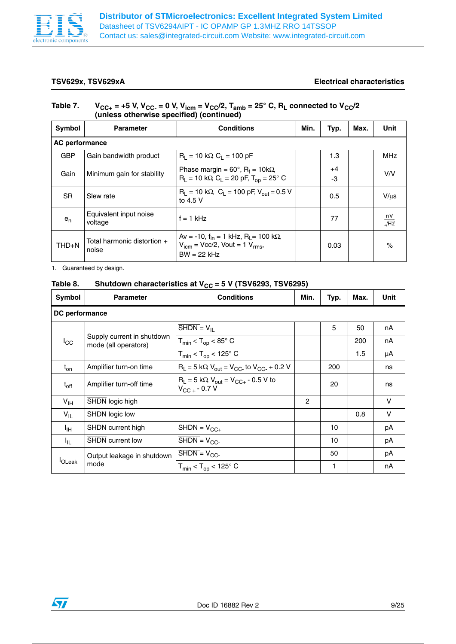

### **TSV629x, TSV629xA Electrical characteristics**

## Table 7.  $V_{CC+}$  = +5 V, V<sub>CC-</sub> = 0 V, V<sub>icm</sub> = V<sub>CC</sub>/2, T<sub>amb</sub> = 25° C, R<sub>L</sub> connected to V<sub>CC</sub>/2 **(unless otherwise specified) (continued)**

| Symbol                | <b>Parameter</b>                     | <b>Conditions</b><br>Min.                                                                                                             |  | Typ.       | Max. | Unit                   |
|-----------------------|--------------------------------------|---------------------------------------------------------------------------------------------------------------------------------------|--|------------|------|------------------------|
| <b>AC performance</b> |                                      |                                                                                                                                       |  |            |      |                        |
| <b>GBP</b>            | Gain bandwidth product               | $R_1 = 10 k\Omega$ , $C_1 = 100 pF$                                                                                                   |  | 1.3        |      | <b>MHz</b>             |
| Gain                  | Minimum gain for stability           | Phase margin = $60^\circ$ , R <sub>f</sub> = $10k\Omega$<br>$R_L$ = 10 kΩ, C <sub>L</sub> = 20 pF, T <sub>op</sub> = 25° C            |  | $+4$<br>-3 |      | V/V                    |
| S <sub>R</sub>        | Slew rate                            | $R_1 = 10 k\Omega$ , $C_1 = 100 pF$ , $V_{\text{out}} = 0.5 V$<br>to $4.5$ V                                                          |  | 0.5        |      | $V/$ us                |
| $e_{n}$               | Equivalent input noise<br>voltage    | $f = 1$ kHz                                                                                                                           |  | 77         |      | $\frac{nV}{\sqrt{Hz}}$ |
| $THD + N$             | Total harmonic distortion +<br>noise | Aν = -10, f <sub>in</sub> = 1 kHz, R <sub>I</sub> = 100 kΩ,<br>$V_{\text{icm}}$ = Vcc/2, Vout = 1 $V_{\text{rms}}$ ,<br>$BW = 22 kHz$ |  | 0.03       |      | $\%$                   |

1. Guaranteed by design.

## Table 8. Shutdown characteristics at V<sub>CC</sub> = 5 V (TSV6293, TSV6295)

| Symbol          | <b>Parameter</b>                                   | <b>Conditions</b>                                                                      | Min. | Typ. | Max. | Unit   |  |  |  |  |
|-----------------|----------------------------------------------------|----------------------------------------------------------------------------------------|------|------|------|--------|--|--|--|--|
|                 | DC performance                                     |                                                                                        |      |      |      |        |  |  |  |  |
|                 |                                                    | $SHDN = VII$                                                                           |      | 5    | 50   | nA     |  |  |  |  |
| $I_{\rm CC}$    | Supply current in shutdown<br>mode (all operators) | $T_{min}$ < $T_{op}$ < 85 $^{\circ}$ C                                                 |      |      | 200  | nA     |  |  |  |  |
|                 |                                                    | $T_{min}$ < $T_{op}$ < 125 $^{\circ}$ C                                                |      |      | 1.5  | μA     |  |  |  |  |
| $t_{on}$        | Amplifier turn-on time                             | $R_L = 5 k\Omega$ , $V_{out} = V_{CC}$ to $V_{CC} + 0.2 V$                             |      | 200  |      | ns     |  |  |  |  |
| $t_{off}$       | Amplifier turn-off time                            | $R_1 = 5 k\Omega$ , $V_{\text{out}} = V_{\text{CC+}} - 0.5 V$ to<br>$V_{CC}$ + - 0.7 V |      | 20   |      | ns     |  |  |  |  |
| $V_{\text{IH}}$ | SHDN logic high                                    |                                                                                        | 2    |      |      | $\vee$ |  |  |  |  |
| $V_{IL}$        | <b>SHDN</b> logic low                              |                                                                                        |      |      | 0.8  | V      |  |  |  |  |
| ŀщ              | SHDN current high                                  | $\overline{\text{SHDN}} = V_{\text{CC+}}$                                              |      | 10   |      | рA     |  |  |  |  |
| ŀμ.             | <b>SHDN</b> current low                            | $\overline{\text{SHDN}} = V_{\text{CC}}$                                               |      | 10   |      | рA     |  |  |  |  |
|                 | Output leakage in shutdown                         | $\overline{\text{SHDN}} = V_{\text{CC}}$                                               |      | 50   |      | рA     |  |  |  |  |
| <b>OLeak</b>    | mode                                               | $T_{min}$ < $T_{op}$ < 125 $^{\circ}$ C                                                |      | 1    |      | nA     |  |  |  |  |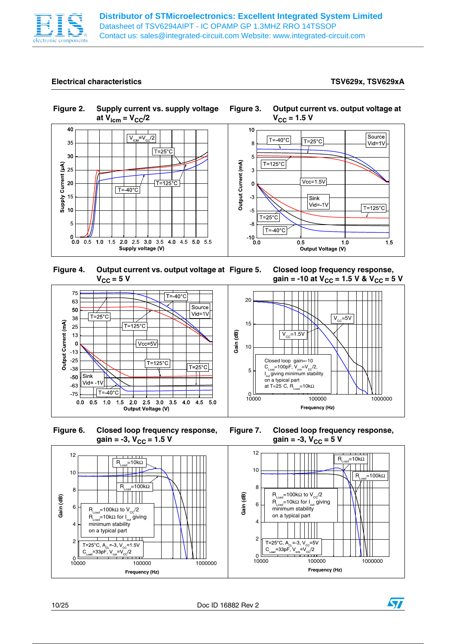

## **Electrical characteristics TSV629x, TSV629xA**

















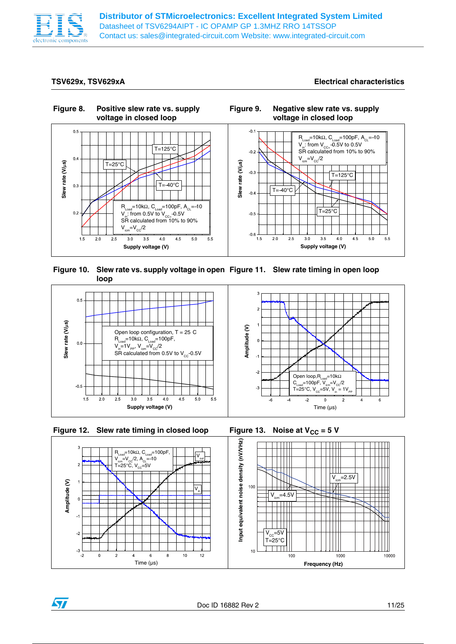

**Distributor of STMicroelectronics: Excellent Integrated System Limited** Datasheet of TSV6294AIPT - IC OPAMP GP 1.3MHZ RRO 14TSSOP Contact us: sales@integrated-circuit.com Website: www.integrated-circuit.com

**TSV629x, TSV629xA Electrical characteristics**



**Figure 10. Slew rate vs. supply voltage in open Figure 11. Slew rate timing in open loop loop** 





ST



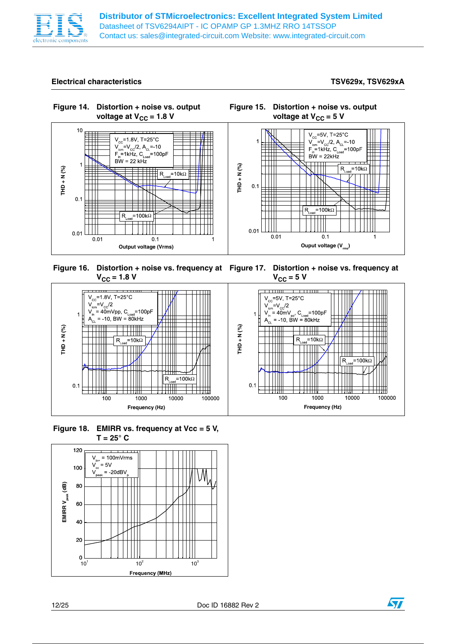

### **Electrical characteristics TSV629x, TSV629xA**



**Figure 16. Distortion + noise vs. frequency at Figure 17. Distortion + noise vs. frequency at**   $V_{CC}$  = 1.8 V

 $V_{CC}$  = 5 V



**Figure 18. EMIRR vs. frequency at Vcc = 5 V, T = 25° C**



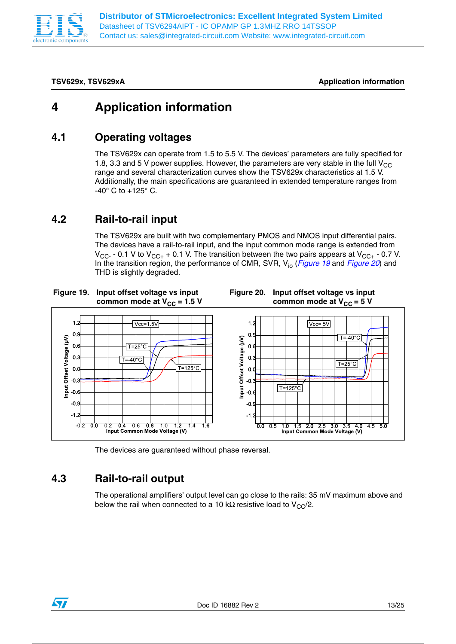

**TSV629x, TSV629xA Application information**

# **4 Application information**

## **4.1 Operating voltages**

The TSV629x can operate from 1.5 to 5.5 V. The devices' parameters are fully specified for 1.8, 3.3 and 5 V power supplies. However, the parameters are very stable in the full  $V_{CC}$ range and several characterization curves show the TSV629x characteristics at 1.5 V. Additionally, the main specifications are guaranteed in extended temperature ranges from  $-40^{\circ}$  C to  $+125^{\circ}$  C.

## **4.2 Rail-to-rail input**

The TSV629x are built with two complementary PMOS and NMOS input differential pairs. The devices have a rail-to-rail input, and the input common mode range is extended from  $V_{\text{CC-}}$  - 0.1 V to  $V_{\text{CC+}}$  + 0.1 V. The transition between the two pairs appears at  $V_{\text{CC+}}$  - 0.7 V. In the transition region, the performance of CMR, SVR, Vio (*Figure 19* and *Figure 20*) and THD is slightly degraded.



The devices are guaranteed without phase reversal.

# **4.3 Rail-to-rail output**

The operational amplifiers' output level can go close to the rails: 35 mV maximum above and below the rail when connected to a 10 kΩ resistive load to  $V_{CC}/2$ .

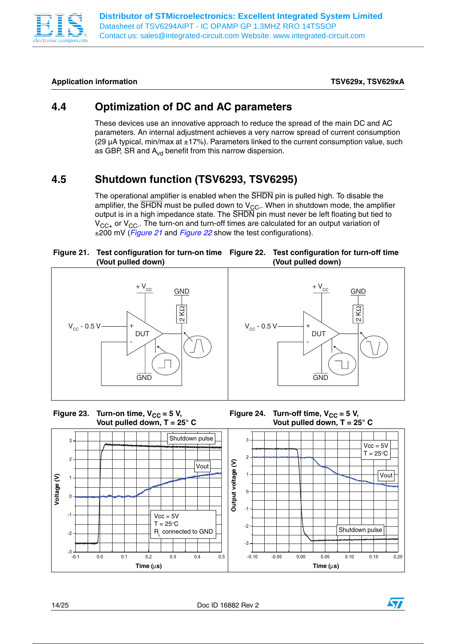

## Application information **TSV629xA** and the state of the state of the state of the state of the state of the state of the state of the state of the state of the state of the state of the state of the state of the state of t

# **4.4 Optimization of DC and AC parameters**

These devices use an innovative approach to reduce the spread of the main DC and AC parameters. An internal adjustment achieves a very narrow spread of current consumption (29  $\mu$ A typical, min/max at  $\pm$ 17%). Parameters linked to the current consumption value, such as GBP, SR and  $A_{vd}$  benefit from this narrow dispersion.

# **4.5 Shutdown function (TSV6293, TSV6295)**

The operational amplifier is enabled when the SHDN pin is pulled high. To disable the amplifier, the  $\overline{\text{SHDN}}$  must be pulled down to  $\text{V}_{\text{CC}}$ . When in shutdown mode, the amplifier output is in a high impedance state. The  $\overline{\text{SHDN}}$  pin must never be left floating but tied to  $V_{CC+}$  or  $V_{CC-}$ . The turn-on and turn-off times are calculated for an output variation of ±200 mV (*Figure 21* and *Figure 22* show the test configurations).

### **Figure 21. Test configuration for turn-on time Figure 22. Test configuration for turn-off time (Vout pulled down) (Vout pulled down)**









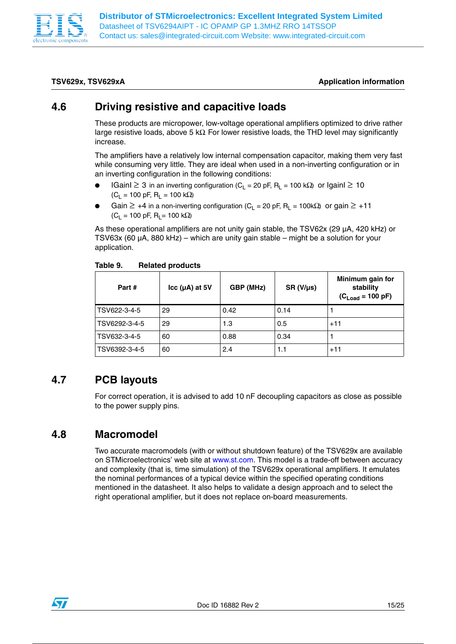

### **TSV629x, TSV629xA Application information**

## **4.6 Driving resistive and capacitive loads**

These products are micropower, low-voltage operational amplifiers optimized to drive rather large resistive loads, above 5 k $\Omega$ . For lower resistive loads, the THD level may significantly increase.

The amplifiers have a relatively low internal compensation capacitor, making them very fast while consuming very little. They are ideal when used in a non-inverting configuration or in an inverting configuration in the following conditions:

- IGainI ≥ 3 in an inverting configuration (C<sub>L</sub> = 20 pF, R<sub>L</sub> = 100 kΩ) or IgainI ≥ 10  $(C_1 = 100 \text{ pF}, R_1 = 100 \text{ k}\Omega)$
- Gain  $\geq$  +4 in a non-inverting configuration (C<sub>L</sub> = 20 pF, R<sub>L</sub> = 100k $\Omega$ ) or gain  $\geq$  +11  $(C_1 = 100 \text{ pF}, R_1 = 100 \text{ k}\Omega)$

As these operational amplifiers are not unity gain stable, the TSV62x (29 µA, 420 kHz) or TSV63x (60  $\mu$ A, 880 kHz) – which are unity gain stable – might be a solution for your application.

| Part #        | $\text{Icc}$ ( $\mu$ A) at 5V | GBP (MHz) | $SR (V/\mu s)$ | Minimum gain for<br>stability<br>$(C_{Load} = 100 pF)$ |
|---------------|-------------------------------|-----------|----------------|--------------------------------------------------------|
| TSV622-3-4-5  | 29                            | 0.42      | 0.14           |                                                        |
| TSV6292-3-4-5 | 29                            | 1.3       | 0.5            | $+11$                                                  |
| TSV632-3-4-5  | 60                            | 0.88      | 0.34           |                                                        |
| TSV6392-3-4-5 | 60                            | 2.4       | 1.1            | $+11$                                                  |

### Table 9. **Table 9. Related products**

## **4.7 PCB layouts**

For correct operation, it is advised to add 10 nF decoupling capacitors as close as possible to the power supply pins.

## **4.8 Macromodel**

Two accurate macromodels (with or without shutdown feature) of the TSV629x are available on STMicroelectronics' web site at www.st.com. This model is a trade-off between accuracy and complexity (that is, time simulation) of the TSV629x operational amplifiers. It emulates the nominal performances of a typical device within the specified operating conditions mentioned in the datasheet. It also helps to validate a design approach and to select the right operational amplifier, but it does not replace on-board measurements.

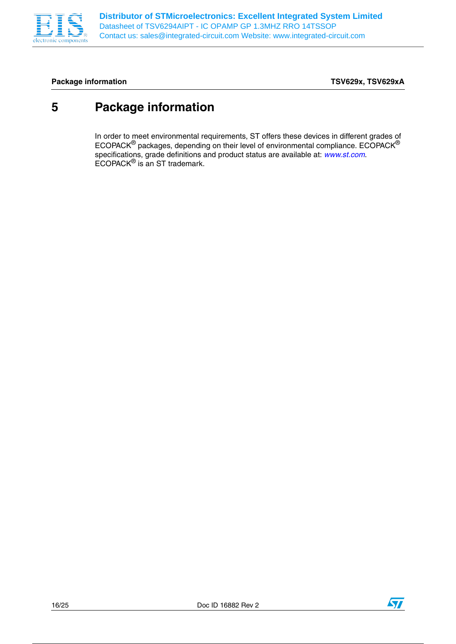

## Package information **Package information TSV629x, TSV629xA**

# **5 Package information**

In order to meet environmental requirements, ST offers these devices in different grades of ECOPACK® packages, depending on their level of environmental compliance. ECOPACK® specifications, grade definitions and product status are available at: *www.st.com*. ECOPACK<sup>®</sup> is an ST trademark.

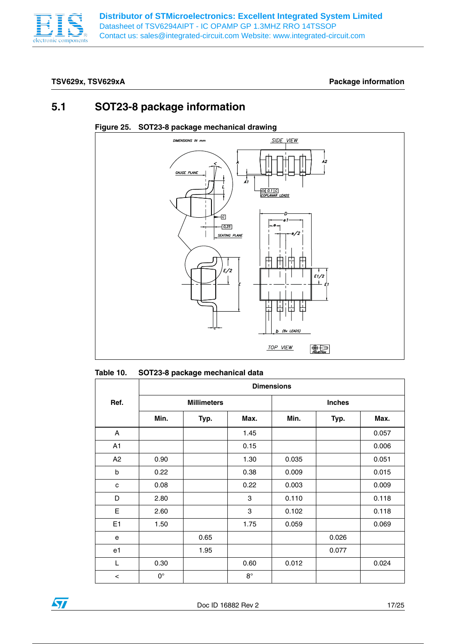

## **TSV629x, TSV629xA Package information**

## **5.1 SOT23-8 package information**

## **Figure 25. SOT23-8 package mechanical drawing**



### Table 10. **Table 10. SOT23-8 package mechanical data**

|                | <b>Dimensions</b> |                    |             |       |               |       |  |  |
|----------------|-------------------|--------------------|-------------|-------|---------------|-------|--|--|
| Ref.           |                   | <b>Millimeters</b> |             |       | <b>Inches</b> |       |  |  |
|                | Min.              | Typ.               | Max.        | Min.  | Typ.          | Max.  |  |  |
| A              |                   |                    | 1.45        |       |               | 0.057 |  |  |
| A1             |                   |                    | 0.15        |       |               | 0.006 |  |  |
| A2             | 0.90              |                    | 1.30        | 0.035 |               | 0.051 |  |  |
| b              | 0.22              |                    | 0.38        | 0.009 |               | 0.015 |  |  |
| c              | 0.08              |                    | 0.22        | 0.003 |               | 0.009 |  |  |
| D              | 2.80              |                    | 3           | 0.110 |               | 0.118 |  |  |
| Е              | 2.60              |                    | 3           | 0.102 |               | 0.118 |  |  |
| E <sub>1</sub> | 1.50              |                    | 1.75        | 0.059 |               | 0.069 |  |  |
| e              |                   | 0.65               |             |       | 0.026         |       |  |  |
| e1             |                   | 1.95               |             |       | 0.077         |       |  |  |
| L              | 0.30              |                    | 0.60        | 0.012 |               | 0.024 |  |  |
| $\,<$          | $0^{\circ}$       |                    | $8^{\circ}$ |       |               |       |  |  |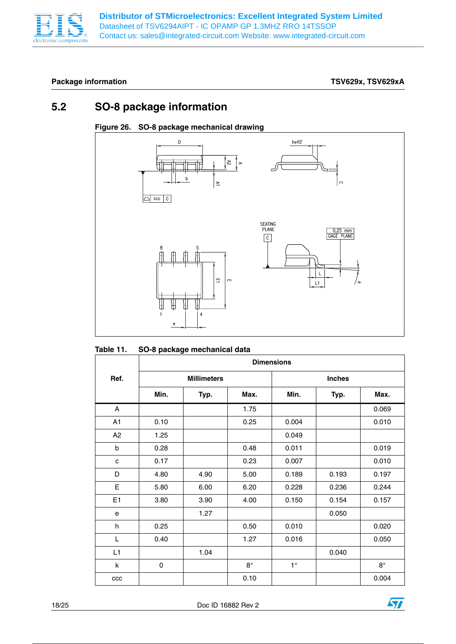

## Package information **Package information TSV629x, TSV629xA**

## **5.2 SO-8 package information**

## **Figure 26. SO-8 package mechanical drawing**



### **Table 11. SO-8 package mechanical data**

|                | <b>Dimensions</b> |                    |             |             |               |             |  |
|----------------|-------------------|--------------------|-------------|-------------|---------------|-------------|--|
| Ref.           |                   | <b>Millimeters</b> |             |             | <b>Inches</b> |             |  |
|                | Min.              | Typ.               | Max.        | Min.        | Typ.          | Max.        |  |
| A              |                   |                    | 1.75        |             |               | 0.069       |  |
| A1             | 0.10              |                    | 0.25        | 0.004       |               | 0.010       |  |
| A2             | 1.25              |                    |             | 0.049       |               |             |  |
| b              | 0.28              |                    | 0.48        | 0.011       |               | 0.019       |  |
| $\mathbf c$    | 0.17              |                    | 0.23        | 0.007       |               | 0.010       |  |
| D              | 4.80              | 4.90               | 5.00        | 0.189       | 0.193         | 0.197       |  |
| E              | 5.80              | 6.00               | 6.20        | 0.228       | 0.236         | 0.244       |  |
| E <sub>1</sub> | 3.80              | 3.90               | 4.00        | 0.150       | 0.154         | 0.157       |  |
| e              |                   | 1.27               |             |             | 0.050         |             |  |
| h              | 0.25              |                    | 0.50        | 0.010       |               | 0.020       |  |
| L              | 0.40              |                    | 1.27        | 0.016       |               | 0.050       |  |
| L1             |                   | 1.04               |             |             | 0.040         |             |  |
| $\sf k$        | $\pmb{0}$         |                    | $8^{\circ}$ | $1^{\circ}$ |               | $8^{\circ}$ |  |
| ccc            |                   |                    | 0.10        |             |               | 0.004       |  |

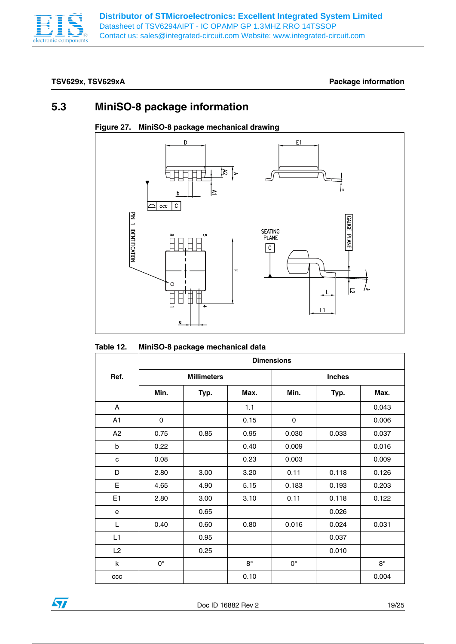

## **TSV629x, TSV629xA Package information**

## **5.3 MiniSO-8 package information**



### **Figure 27. MiniSO-8 package mechanical drawing**

| Table 12. | MiniSO-8 package mechanical data |
|-----------|----------------------------------|
|-----------|----------------------------------|

|                | <b>Dimensions</b> |                    |             |             |               |           |  |
|----------------|-------------------|--------------------|-------------|-------------|---------------|-----------|--|
| Ref.           |                   | <b>Millimeters</b> |             |             | <b>Inches</b> |           |  |
|                | Min.              | Typ.               | Max.        | Min.        | Typ.          | Max.      |  |
| A              |                   |                    | 1.1         |             |               | 0.043     |  |
| A <sub>1</sub> | 0                 |                    | 0.15        | 0           |               | 0.006     |  |
| A <sub>2</sub> | 0.75              | 0.85               | 0.95        | 0.030       | 0.033         | 0.037     |  |
| b              | 0.22              |                    | 0.40        | 0.009       |               | 0.016     |  |
| C              | 0.08              |                    | 0.23        | 0.003       |               | 0.009     |  |
| D              | 2.80              | 3.00               | 3.20        | 0.11        | 0.118         | 0.126     |  |
| E              | 4.65              | 4.90               | 5.15        | 0.183       | 0.193         | 0.203     |  |
| E1             | 2.80              | 3.00               | 3.10        | 0.11        | 0.118         | 0.122     |  |
| e              |                   | 0.65               |             |             | 0.026         |           |  |
| L              | 0.40              | 0.60               | 0.80        | 0.016       | 0.024         | 0.031     |  |
| L1             |                   | 0.95               |             |             | 0.037         |           |  |
| L2             |                   | 0.25               |             |             | 0.010         |           |  |
| $\sf k$        | $0^{\circ}$       |                    | $8^{\circ}$ | $0^{\circ}$ |               | $8^\circ$ |  |
| ccc            |                   |                    | 0.10        |             |               | 0.004     |  |

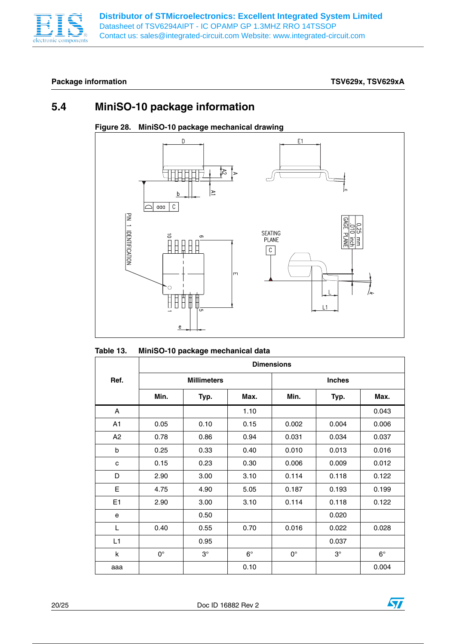

## Package information **Package information TSV629x, TSV629xA**

## **5.4 MiniSO-10 package information**



### **Figure 28. MiniSO-10 package mechanical drawing**

## **Table 13. MiniSO-10 package mechanical data**

|                | <b>Dimensions</b> |                    |             |             |               |             |  |
|----------------|-------------------|--------------------|-------------|-------------|---------------|-------------|--|
| Ref.           |                   | <b>Millimeters</b> |             |             | <b>Inches</b> |             |  |
|                | Min.              | Typ.               | Max.        | Min.        | Typ.          | Max.        |  |
| A              |                   |                    | 1.10        |             |               | 0.043       |  |
| A1             | 0.05              | 0.10               | 0.15        | 0.002       | 0.004         | 0.006       |  |
| A2             | 0.78              | 0.86               | 0.94        | 0.031       | 0.034         | 0.037       |  |
| b              | 0.25              | 0.33               | 0.40        | 0.010       | 0.013         | 0.016       |  |
| $\mathbf c$    | 0.15              | 0.23               | 0.30        | 0.006       | 0.009         | 0.012       |  |
| D              | 2.90              | 3.00               | 3.10        | 0.114       | 0.118         | 0.122       |  |
| E              | 4.75              | 4.90               | 5.05        | 0.187       | 0.193         | 0.199       |  |
| E <sub>1</sub> | 2.90              | 3.00               | 3.10        | 0.114       | 0.118         | 0.122       |  |
| e              |                   | 0.50               |             |             | 0.020         |             |  |
| L              | 0.40              | 0.55               | 0.70        | 0.016       | 0.022         | 0.028       |  |
| L1             |                   | 0.95               |             |             | 0.037         |             |  |
| k              | $0^{\circ}$       | $3^\circ$          | $6^{\circ}$ | $0^{\circ}$ | $3^\circ$     | $6^{\circ}$ |  |
| aaa            |                   |                    | 0.10        |             |               | 0.004       |  |

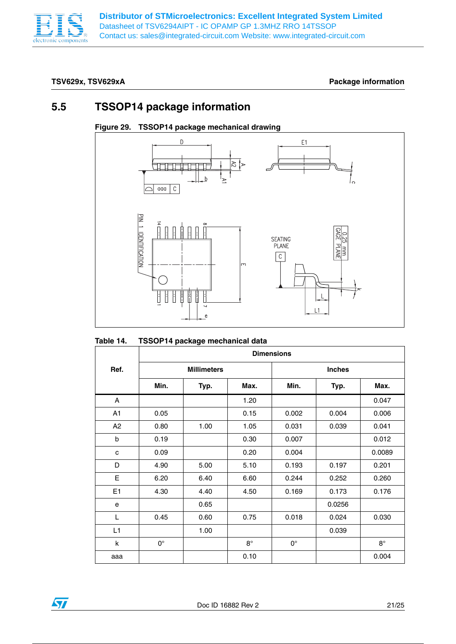

## **TSV629x, TSV629xA Package information**

## **5.5 TSSOP14 package information**



## **Figure 29. TSSOP14 package mechanical drawing**

|                | <b>Dimensions</b> |                    |           |             |               |           |  |
|----------------|-------------------|--------------------|-----------|-------------|---------------|-----------|--|
| Ref.           |                   | <b>Millimeters</b> |           |             | <b>Inches</b> |           |  |
|                | Min.              | Typ.               | Max.      | Min.        | Typ.          | Max.      |  |
| A              |                   |                    | 1.20      |             |               | 0.047     |  |
| A <sub>1</sub> | 0.05              |                    | 0.15      | 0.002       | 0.004         | 0.006     |  |
| A2             | 0.80              | 1.00               | 1.05      | 0.031       | 0.039         | 0.041     |  |
| b              | 0.19              |                    | 0.30      | 0.007       |               | 0.012     |  |
| C              | 0.09              |                    | 0.20      | 0.004       |               | 0.0089    |  |
| D              | 4.90              | 5.00               | 5.10      | 0.193       | 0.197         | 0.201     |  |
| E              | 6.20              | 6.40               | 6.60      | 0.244       | 0.252         | 0.260     |  |
| E <sub>1</sub> | 4.30              | 4.40               | 4.50      | 0.169       | 0.173         | 0.176     |  |
| e              |                   | 0.65               |           |             | 0.0256        |           |  |
| L              | 0.45              | 0.60               | 0.75      | 0.018       | 0.024         | 0.030     |  |
| L1             |                   | 1.00               |           |             | 0.039         |           |  |
| k              | $0^{\circ}$       |                    | $8^\circ$ | $0^{\circ}$ |               | $8^\circ$ |  |
| aaa            |                   |                    | 0.10      |             |               | 0.004     |  |

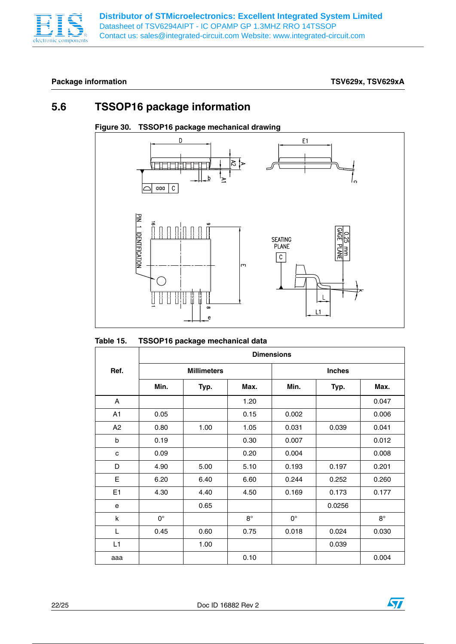

## Package information **Package information TSV629x, TSV629xA**

## **5.6 TSSOP16 package information**



## **Figure 30. TSSOP16 package mechanical drawing**

| Table 15. |  |  | TSSOP16 package mechanical data |  |
|-----------|--|--|---------------------------------|--|
|-----------|--|--|---------------------------------|--|

|                | <b>Dimensions</b> |                    |           |             |               |             |  |
|----------------|-------------------|--------------------|-----------|-------------|---------------|-------------|--|
| Ref.           |                   | <b>Millimeters</b> |           |             | <b>Inches</b> |             |  |
|                | Min.              | Typ.               | Max.      | Min.        | Typ.          | Max.        |  |
| A              |                   |                    | 1.20      |             |               | 0.047       |  |
| A <sub>1</sub> | 0.05              |                    | 0.15      | 0.002       |               | 0.006       |  |
| A2             | 0.80              | 1.00               | 1.05      | 0.031       | 0.039         | 0.041       |  |
| $\mathsf{b}$   | 0.19              |                    | 0.30      | 0.007       |               | 0.012       |  |
| C              | 0.09              |                    | 0.20      | 0.004       |               | 0.008       |  |
| D              | 4.90              | 5.00               | 5.10      | 0.193       | 0.197         | 0.201       |  |
| E              | 6.20              | 6.40               | 6.60      | 0.244       | 0.252         | 0.260       |  |
| E1             | 4.30              | 4.40               | 4.50      | 0.169       | 0.173         | 0.177       |  |
| e              |                   | 0.65               |           |             | 0.0256        |             |  |
| k              | $0^{\circ}$       |                    | $8^\circ$ | $0^{\circ}$ |               | $8^{\circ}$ |  |
| L              | 0.45              | 0.60               | 0.75      | 0.018       | 0.024         | 0.030       |  |
| L1             |                   | 1.00               |           |             | 0.039         |             |  |
| aaa            |                   |                    | 0.10      |             |               | 0.004       |  |

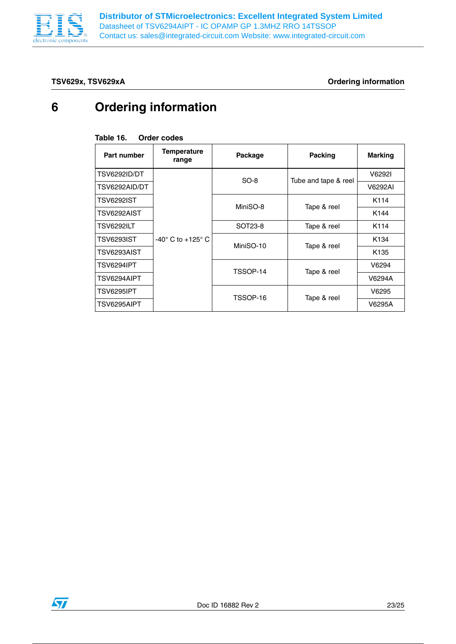

**TSV629x, TSV629xA Ordering information**

# **6 Ordering information**

### **Table 16. Order codes**

| Part number         | <b>Temperature</b><br>range     | Package   | <b>Packing</b>       | <b>Marking</b>   |
|---------------------|---------------------------------|-----------|----------------------|------------------|
| <b>TSV6292ID/DT</b> |                                 | $SO-8$    | Tube and tape & reel | V6292I           |
| TSV6292AID/DT       |                                 |           |                      | V6292AI          |
| TSV6292IST          | $-40^\circ$ C to $+125^\circ$ C | MiniSO-8  |                      | K114             |
| TSV6292AIST         |                                 |           | Tape & reel          | K144             |
| TSV6292ILT          |                                 | SOT23-8   | Tape & reel          | K114             |
| <b>TSV6293IST</b>   |                                 | MiniSO-10 |                      | K <sub>134</sub> |
| TSV6293AIST         |                                 |           | Tape & reel          | K <sub>135</sub> |
| TSV6294IPT          |                                 | TSSOP-14  | Tape & reel          | V6294            |
| TSV6294AIPT         |                                 |           |                      | V6294A           |
| TSV6295IPT          |                                 |           |                      | V6295            |
| TSV6295AIPT         |                                 | TSSOP-16  | Tape & reel          | V6295A           |

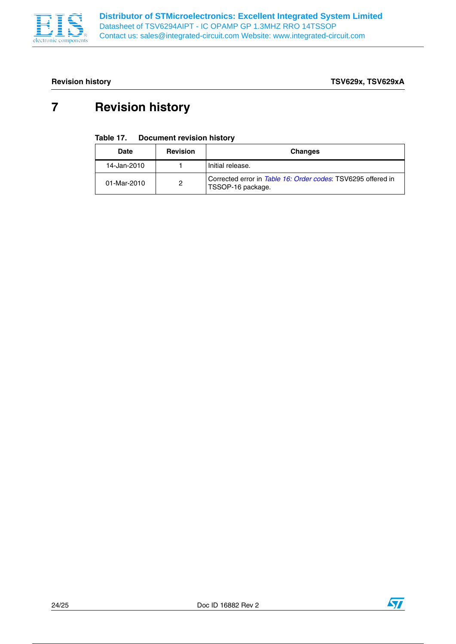

**Revision history TSV629x, TSV629xA**

# **7 Revision history**

### Table 17. **Document revision history**

| Date        | <b>Revision</b> | <b>Changes</b>                                                                    |
|-------------|-----------------|-----------------------------------------------------------------------------------|
| 14-Jan-2010 |                 | Initial release.                                                                  |
| 01-Mar-2010 | 2               | Corrected error in Table 16: Order codes: TSV6295 offered in<br>TSSOP-16 package. |